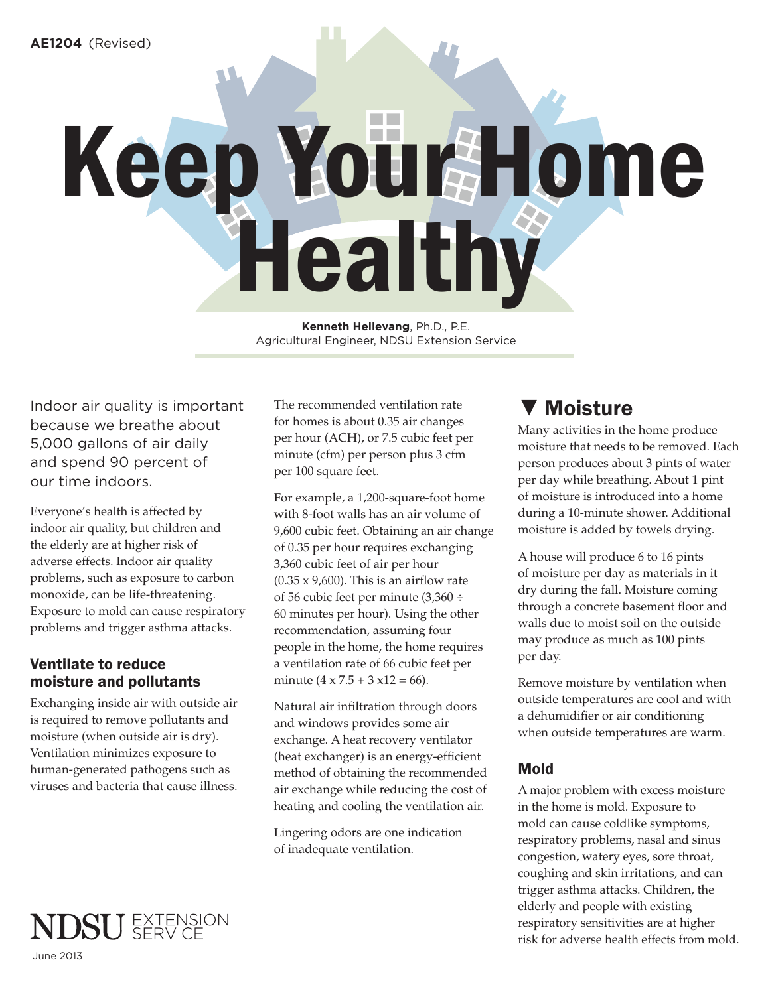# Keep Your Home Healthy

**Kenneth Hellevang**, Ph.D., P.E. Agricultural Engineer, NDSU Extension Service

Indoor air quality is important because we breathe about 5,000 gallons of air daily and spend 90 percent of our time indoors.

Everyone's health is affected by indoor air quality, but children and the elderly are at higher risk of adverse effects. Indoor air quality problems, such as exposure to carbon monoxide, can be life-threatening. Exposure to mold can cause respiratory problems and trigger asthma attacks.

# Ventilate to reduce moisture and pollutants

Exchanging inside air with outside air is required to remove pollutants and moisture (when outside air is dry). Ventilation minimizes exposure to human-generated pathogens such as viruses and bacteria that cause illness.

The recommended ventilation rate for homes is about 0.35 air changes per hour (ACH), or 7.5 cubic feet per minute (cfm) per person plus 3 cfm per 100 square feet.

For example, a 1,200-square-foot home with 8-foot walls has an air volume of 9,600 cubic feet. Obtaining an air change of 0.35 per hour requires exchanging 3,360 cubic feet of air per hour  $(0.35 \times 9,600)$ . This is an airflow rate of 56 cubic feet per minute (3,360 ÷ 60 minutes per hour). Using the other recommendation, assuming four people in the home, the home requires a ventilation rate of 66 cubic feet per minute  $(4 \times 7.5 + 3 \times 12 = 66)$ .

Natural air infiltration through doors and windows provides some air exchange. A heat recovery ventilator (heat exchanger) is an energy-efficient method of obtaining the recommended air exchange while reducing the cost of heating and cooling the ventilation air.

Lingering odors are one indication of inadequate ventilation.

# ▼ Moisture

Many activities in the home produce moisture that needs to be removed. Each person produces about 3 pints of water per day while breathing. About 1 pint of moisture is introduced into a home during a 10-minute shower. Additional moisture is added by towels drying.

A house will produce 6 to 16 pints of moisture per day as materials in it dry during the fall. Moisture coming through a concrete basement floor and walls due to moist soil on the outside may produce as much as 100 pints per day.

Remove moisture by ventilation when outside temperatures are cool and with a dehumidifier or air conditioning when outside temperatures are warm.

# Mold

A major problem with excess moisture in the home is mold. Exposure to mold can cause coldlike symptoms, respiratory problems, nasal and sinus congestion, watery eyes, sore throat, coughing and skin irritations, and can trigger asthma attacks. Children, the elderly and people with existing respiratory sensitivities are at higher risk for adverse health effects from mold.

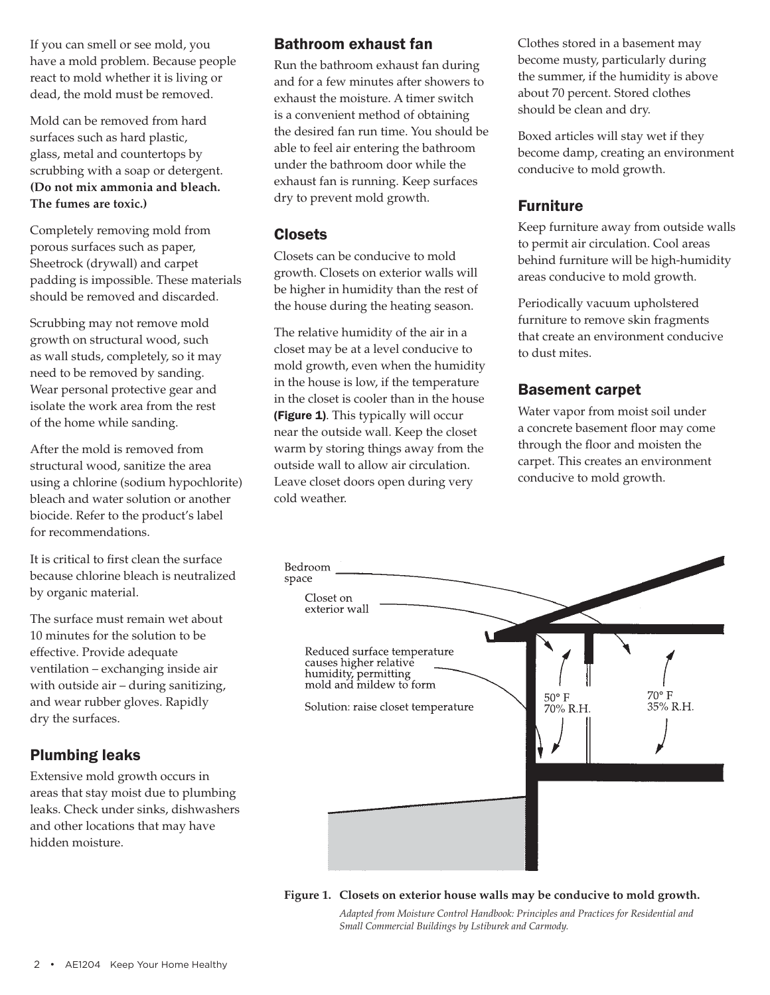If you can smell or see mold, you have a mold problem. Because people react to mold whether it is living or dead, the mold must be removed.

Mold can be removed from hard surfaces such as hard plastic, glass, metal and countertops by scrubbing with a soap or detergent. **(Do not mix ammonia and bleach. The fumes are toxic.)**

Completely removing mold from porous surfaces such as paper, Sheetrock (drywall) and carpet padding is impossible. These materials should be removed and discarded.

Scrubbing may not remove mold growth on structural wood, such as wall studs, completely, so it may need to be removed by sanding. Wear personal protective gear and isolate the work area from the rest of the home while sanding.

After the mold is removed from structural wood, sanitize the area using a chlorine (sodium hypochlorite) bleach and water solution or another biocide. Refer to the product's label for recommendations.

It is critical to first clean the surface because chlorine bleach is neutralized by organic material.

The surface must remain wet about 10 minutes for the solution to be effective. Provide adequate ventilation – exchanging inside air with outside air – during sanitizing, and wear rubber gloves. Rapidly dry the surfaces.

# Plumbing leaks

Extensive mold growth occurs in areas that stay moist due to plumbing leaks. Check under sinks, dishwashers and other locations that may have hidden moisture.

# Bathroom exhaust fan

Run the bathroom exhaust fan during and for a few minutes after showers to exhaust the moisture. A timer switch is a convenient method of obtaining the desired fan run time. You should be able to feel air entering the bathroom under the bathroom door while the exhaust fan is running. Keep surfaces dry to prevent mold growth.

## Closets

Closets can be conducive to mold growth. Closets on exterior walls will be higher in humidity than the rest of the house during the heating season.

The relative humidity of the air in a closet may be at a level conducive to mold growth, even when the humidity in the house is low, if the temperature in the closet is cooler than in the house (Figure 1). This typically will occur near the outside wall. Keep the closet warm by storing things away from the outside wall to allow air circulation. Leave closet doors open during very cold weather.

Clothes stored in a basement may become musty, particularly during the summer, if the humidity is above about 70 percent. Stored clothes should be clean and dry.

Boxed articles will stay wet if they become damp, creating an environment conducive to mold growth.

# Furniture

Keep furniture away from outside walls to permit air circulation. Cool areas behind furniture will be high-humidity areas conducive to mold growth.

Periodically vacuum upholstered furniture to remove skin fragments that create an environment conducive to dust mites.

# Basement carpet

Water vapor from moist soil under a concrete basement floor may come through the floor and moisten the carpet. This creates an environment conducive to mold growth.



**Figure 1. Closets on exterior house walls may be conducive to mold growth.**

 *Adapted from Moisture Control Handbook: Principles and Practices for Residential and Small Commercial Buildings by Lstiburek and Carmody.*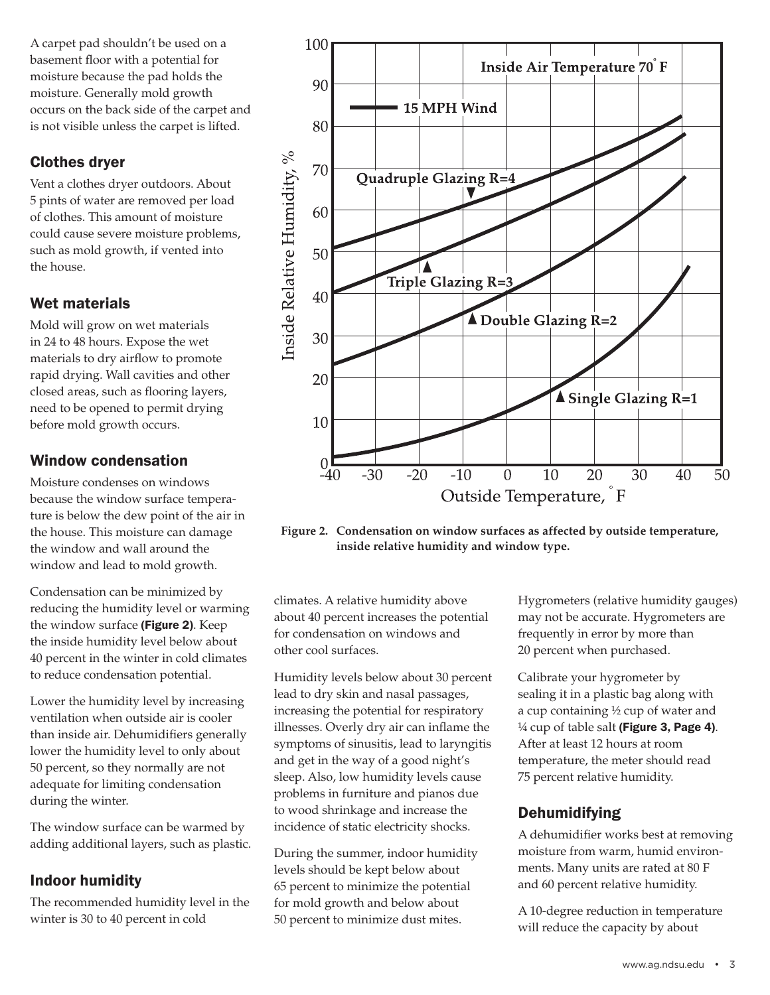A carpet pad shouldn't be used on a basement floor with a potential for moisture because the pad holds the moisture. Generally mold growth occurs on the back side of the carpet and is not visible unless the carpet is lifted.

# Clothes dryer

Vent a clothes dryer outdoors. About 5 pints of water are removed per load of clothes. This amount of moisture could cause severe moisture problems, such as mold growth, if vented into the house.

# Wet materials

Mold will grow on wet materials in 24 to 48 hours. Expose the wet materials to dry airflow to promote rapid drying. Wall cavities and other closed areas, such as flooring layers, need to be opened to permit drying before mold growth occurs.

# Window condensation

Moisture condenses on windows because the window surface temperature is below the dew point of the air in the house. This moisture can damage the window and wall around the window and lead to mold growth.

Condensation can be minimized by reducing the humidity level or warming the window surface (Figure 2). Keep the inside humidity level below about 40 percent in the winter in cold climates to reduce condensation potential.

Lower the humidity level by increasing ventilation when outside air is cooler than inside air. Dehumidifiers generally lower the humidity level to only about 50 percent, so they normally are not adequate for limiting condensation during the winter.

The window surface can be warmed by adding additional layers, such as plastic.

# Indoor humidity

The recommended humidity level in the winter is 30 to 40 percent in cold



**Figure 2. Condensation on window surfaces as affected by outside temperature, inside relative humidity and window type.**

climates. A relative humidity above about 40 percent increases the potential for condensation on windows and other cool surfaces.

Humidity levels below about 30 percent lead to dry skin and nasal passages, increasing the potential for respiratory illnesses. Overly dry air can inflame the symptoms of sinusitis, lead to laryngitis and get in the way of a good night's sleep. Also, low humidity levels cause problems in furniture and pianos due to wood shrinkage and increase the incidence of static electricity shocks.

During the summer, indoor humidity levels should be kept below about 65 percent to minimize the potential for mold growth and below about 50 percent to minimize dust mites.

Hygrometers (relative humidity gauges) may not be accurate. Hygrometers are frequently in error by more than 20 percent when purchased.

Calibrate your hygrometer by sealing it in a plastic bag along with a cup containing ½ cup of water and  $\frac{1}{4}$  cup of table salt (Figure 3, Page 4). After at least 12 hours at room temperature, the meter should read 75 percent relative humidity.

# Dehumidifying

A dehumidifier works best at removing moisture from warm, humid environments. Many units are rated at 80 F and 60 percent relative humidity.

A 10-degree reduction in temperature will reduce the capacity by about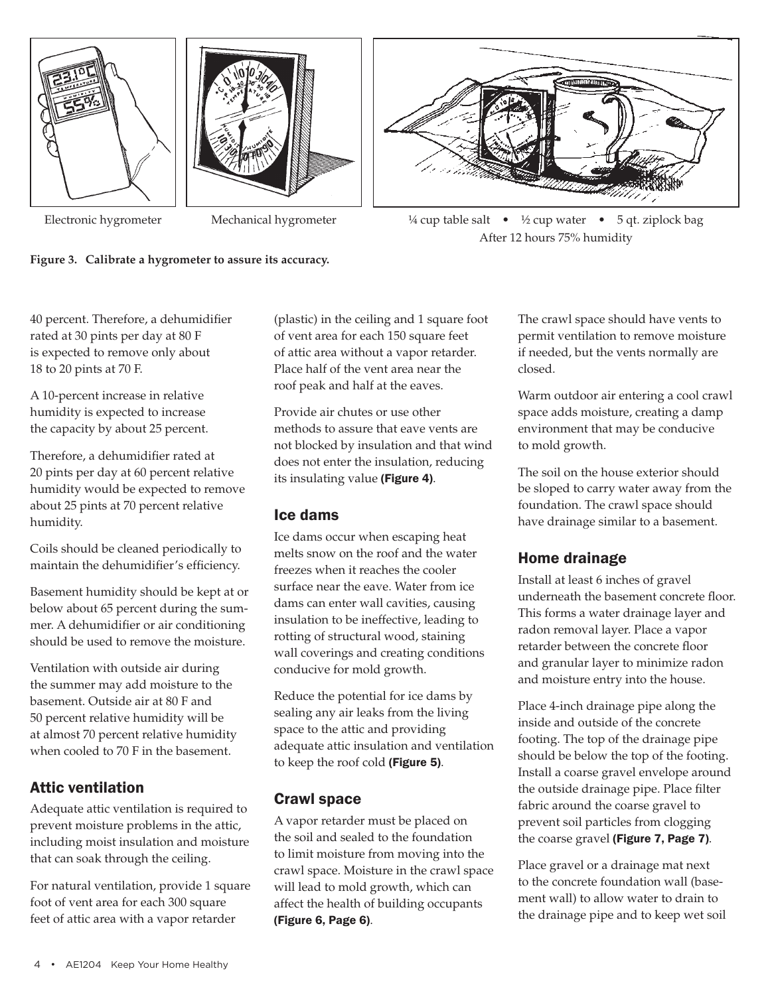







Electronic hygrometer Mechanical hygrometer  $\frac{1}{4}$  cup table salt • ½ cup water • 5 qt. ziplock bag After 12 hours 75% humidity

40 percent. Therefore, a dehumidifier rated at 30 pints per day at 80 F is expected to remove only about 18 to 20 pints at 70 F.

A 10-percent increase in relative humidity is expected to increase the capacity by about 25 percent.

Therefore, a dehumidifier rated at 20 pints per day at 60 percent relative humidity would be expected to remove about 25 pints at 70 percent relative humidity.

Coils should be cleaned periodically to maintain the dehumidifier's efficiency.

Basement humidity should be kept at or below about 65 percent during the summer. A dehumidifier or air conditioning should be used to remove the moisture.

Ventilation with outside air during the summer may add moisture to the basement. Outside air at 80 F and 50 percent relative humidity will be at almost 70 percent relative humidity when cooled to 70 F in the basement.

# Attic ventilation

Adequate attic ventilation is required to prevent moisture problems in the attic, including moist insulation and moisture that can soak through the ceiling.

For natural ventilation, provide 1 square foot of vent area for each 300 square feet of attic area with a vapor retarder

(plastic) in the ceiling and 1 square foot of vent area for each 150 square feet of attic area without a vapor retarder. Place half of the vent area near the roof peak and half at the eaves.

Provide air chutes or use other methods to assure that eave vents are not blocked by insulation and that wind does not enter the insulation, reducing its insulating value (Figure 4).

# Ice dams

Ice dams occur when escaping heat melts snow on the roof and the water freezes when it reaches the cooler surface near the eave. Water from ice dams can enter wall cavities, causing insulation to be ineffective, leading to rotting of structural wood, staining wall coverings and creating conditions conducive for mold growth.

Reduce the potential for ice dams by sealing any air leaks from the living space to the attic and providing adequate attic insulation and ventilation to keep the roof cold (Figure 5).

# Crawl space

A vapor retarder must be placed on the soil and sealed to the foundation to limit moisture from moving into the crawl space. Moisture in the crawl space will lead to mold growth, which can affect the health of building occupants (Figure 6, Page 6).

The crawl space should have vents to permit ventilation to remove moisture if needed, but the vents normally are closed.

Warm outdoor air entering a cool crawl space adds moisture, creating a damp environment that may be conducive to mold growth.

The soil on the house exterior should be sloped to carry water away from the foundation. The crawl space should have drainage similar to a basement.

# Home drainage

Install at least 6 inches of gravel underneath the basement concrete floor. This forms a water drainage layer and radon removal layer. Place a vapor retarder between the concrete floor and granular layer to minimize radon and moisture entry into the house.

Place 4-inch drainage pipe along the inside and outside of the concrete footing. The top of the drainage pipe should be below the top of the footing. Install a coarse gravel envelope around the outside drainage pipe. Place filter fabric around the coarse gravel to prevent soil particles from clogging the coarse gravel (Figure 7, Page 7).

Place gravel or a drainage mat next to the concrete foundation wall (basement wall) to allow water to drain to the drainage pipe and to keep wet soil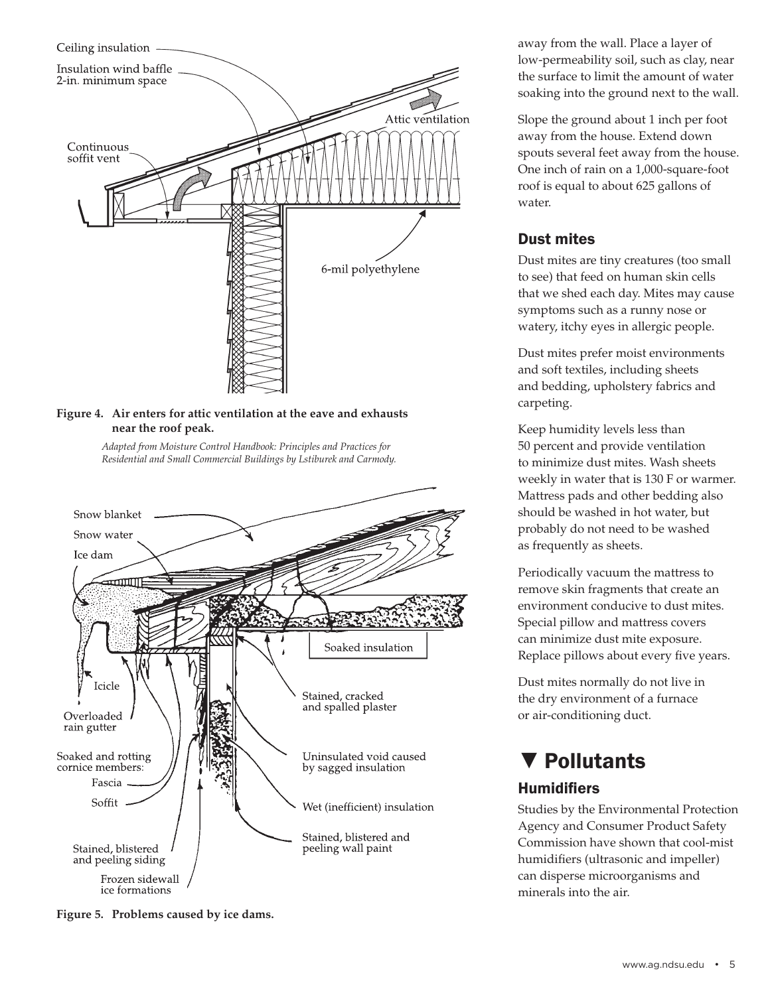

## **Figure 4. Air enters for attic ventilation at the eave and exhausts near the roof peak.**

 *Adapted from Moisture Control Handbook: Principles and Practices for Residential and Small Commercial Buildings by Lstiburek and Carmody.*



**Figure 5. Problems caused by ice dams.**

away from the wall. Place a layer of low-permeability soil, such as clay, near the surface to limit the amount of water soaking into the ground next to the wall.

Slope the ground about 1 inch per foot away from the house. Extend down spouts several feet away from the house. One inch of rain on a 1,000-square-foot roof is equal to about 625 gallons of water.

# Dust mites

Dust mites are tiny creatures (too small to see) that feed on human skin cells that we shed each day. Mites may cause symptoms such as a runny nose or watery, itchy eyes in allergic people.

Dust mites prefer moist environments and soft textiles, including sheets and bedding, upholstery fabrics and carpeting.

Keep humidity levels less than 50 percent and provide ventilation to minimize dust mites. Wash sheets weekly in water that is 130 F or warmer. Mattress pads and other bedding also should be washed in hot water, but probably do not need to be washed as frequently as sheets.

Periodically vacuum the mattress to remove skin fragments that create an environment conducive to dust mites. Special pillow and mattress covers can minimize dust mite exposure. Replace pillows about every five years.

Dust mites normally do not live in the dry environment of a furnace or air-conditioning duct.

# ▼ Pollutants

# **Humidifiers**

Studies by the Environmental Protection Agency and Consumer Product Safety Commission have shown that cool-mist humidifiers (ultrasonic and impeller) can disperse microorganisms and minerals into the air.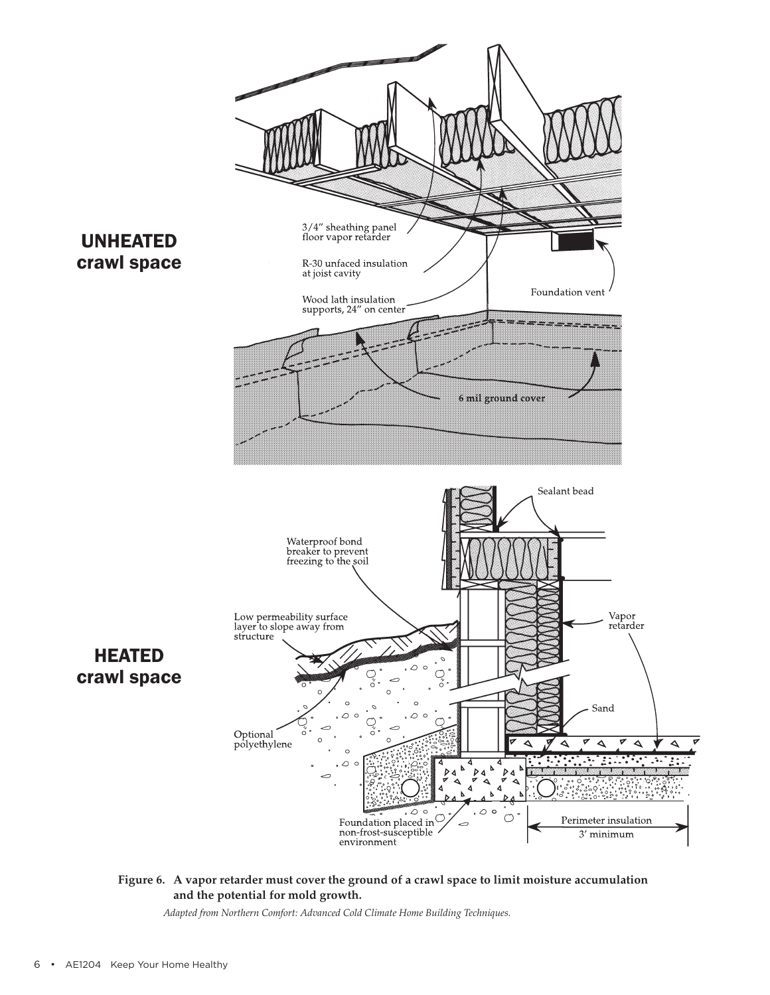

### **Figure 6. A vapor retarder must cover the ground of a crawl space to limit moisture accumulation and the potential for mold growth.**

 *Adapted from Northern Comfort: Advanced Cold Climate Home Building Techniques.*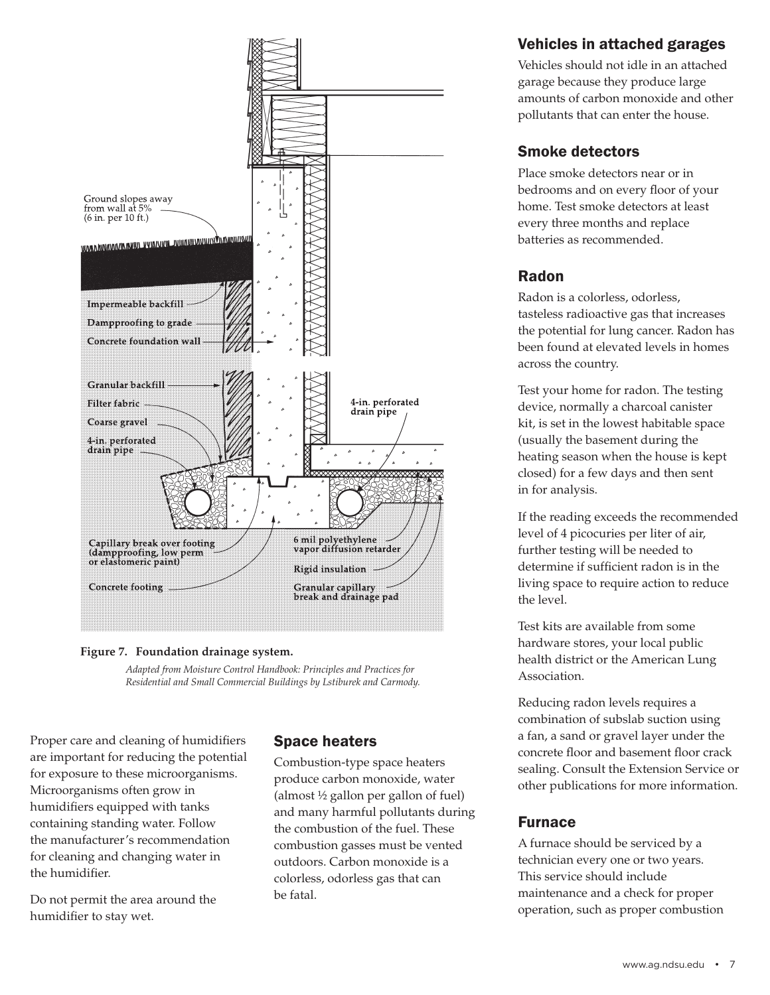

### **Figure 7. Foundation drainage system.**

 *Adapted from Moisture Control Handbook: Principles and Practices for Residential and Small Commercial Buildings by Lstiburek and Carmody.*

Proper care and cleaning of humidifiers are important for reducing the potential for exposure to these microorganisms. Microorganisms often grow in humidifiers equipped with tanks containing standing water. Follow the manufacturer's recommendation for cleaning and changing water in the humidifier.

Do not permit the area around the humidifier to stay wet.

## Space heaters

Combustion-type space heaters produce carbon monoxide, water (almost ½ gallon per gallon of fuel) and many harmful pollutants during the combustion of the fuel. These combustion gasses must be vented outdoors. Carbon monoxide is a colorless, odorless gas that can be fatal.

# Vehicles in attached garages

Vehicles should not idle in an attached garage because they produce large amounts of carbon monoxide and other pollutants that can enter the house.

# Smoke detectors

Place smoke detectors near or in bedrooms and on every floor of your home. Test smoke detectors at least every three months and replace batteries as recommended.

# Radon

Radon is a colorless, odorless, tasteless radioactive gas that increases the potential for lung cancer. Radon has been found at elevated levels in homes across the country.

Test your home for radon. The testing device, normally a charcoal canister kit, is set in the lowest habitable space (usually the basement during the heating season when the house is kept closed) for a few days and then sent in for analysis.

If the reading exceeds the recommended level of 4 picocuries per liter of air, further testing will be needed to determine if sufficient radon is in the living space to require action to reduce the level.

Test kits are available from some hardware stores, your local public health district or the American Lung Association.

Reducing radon levels requires a combination of subslab suction using a fan, a sand or gravel layer under the concrete floor and basement floor crack sealing. Consult the Extension Service or other publications for more information.

## Furnace

A furnace should be serviced by a technician every one or two years. This service should include maintenance and a check for proper operation, such as proper combustion